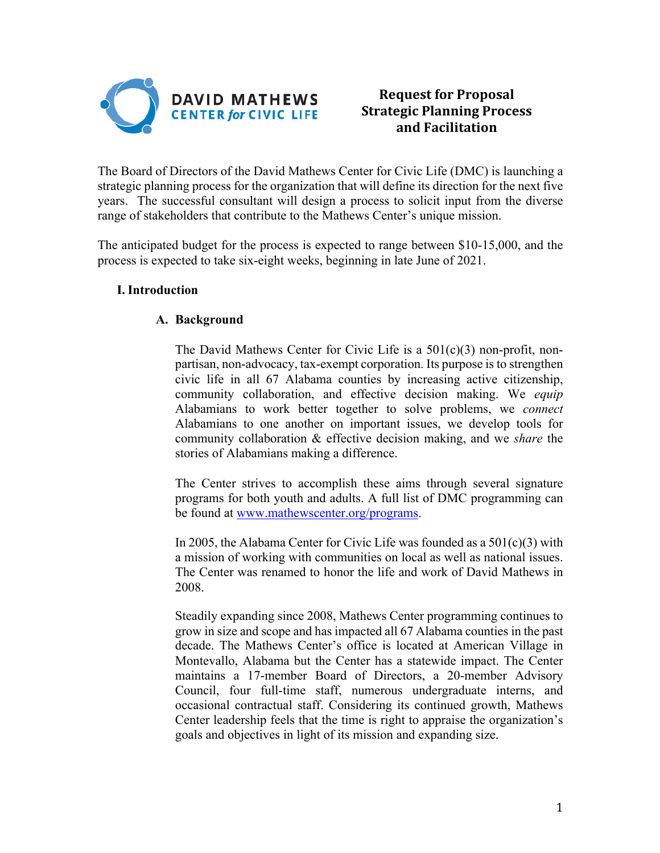

# **Request for Proposal Strategic Planning Process and Facilitation**

The Board of Directors of the David Mathews Center for Civic Life (DMC) is launching a strategic planning process for the organization that will define its direction for the next five years. The successful consultant will design a process to solicit input from the diverse range of stakeholders that contribute to the Mathews Center's unique mission.

The anticipated budget for the process is expected to range between \$10-15,000, and the process is expected to take six-eight weeks, beginning in late June of 2021.

## **I.Introduction**

## **A. Background**

The David Mathews Center for Civic Life is a 501(c)(3) non-profit, nonpartisan, non-advocacy, tax-exempt corporation. Its purpose is to strengthen civic life in all 67 Alabama counties by increasing active citizenship, community collaboration, and effective decision making. We *equip* Alabamians to work better together to solve problems, we *connect* Alabamians to one another on important issues, we develop tools for community collaboration & effective decision making, and we *share* the stories of Alabamians making a difference.

The Center strives to accomplish these aims through several signature programs for both youth and adults. A full list of DMC programming can be found at www.mathewscenter.org/programs.

In 2005, the Alabama Center for Civic Life was founded as a  $501(c)(3)$  with a mission of working with communities on local as well as national issues. The Center was renamed to honor the life and work of David Mathews in 2008.

Steadily expanding since 2008, Mathews Center programming continues to grow in size and scope and has impacted all 67 Alabama counties in the past decade. The Mathews Center's office is located at American Village in Montevallo, Alabama but the Center has a statewide impact. The Center maintains a 17-member Board of Directors, a 20-member Advisory Council, four full-time staff, numerous undergraduate interns, and occasional contractual staff. Considering its continued growth, Mathews Center leadership feels that the time is right to appraise the organization's goals and objectives in light of its mission and expanding size.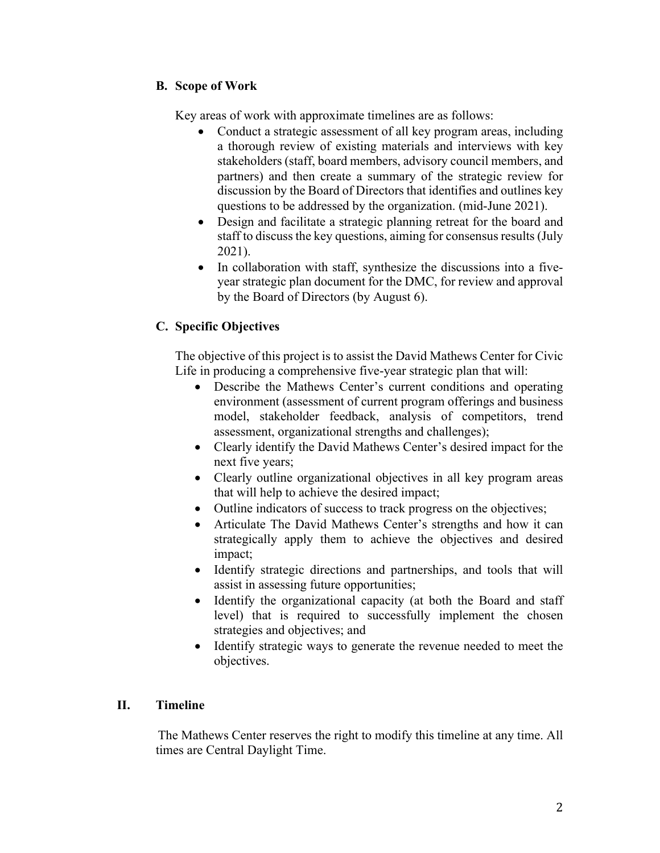# **B. Scope of Work**

Key areas of work with approximate timelines are as follows:

- Conduct a strategic assessment of all key program areas, including a thorough review of existing materials and interviews with key stakeholders (staff, board members, advisory council members, and partners) and then create a summary of the strategic review for discussion by the Board of Directors that identifies and outlines key questions to be addressed by the organization. (mid-June 2021).
- Design and facilitate a strategic planning retreat for the board and staff to discuss the key questions, aiming for consensus results (July 2021).
- In collaboration with staff, synthesize the discussions into a fiveyear strategic plan document for the DMC, for review and approval by the Board of Directors (by August 6).

# **C. Specific Objectives**

The objective of this project is to assist the David Mathews Center for Civic Life in producing a comprehensive five-year strategic plan that will:

- Describe the Mathews Center's current conditions and operating environment (assessment of current program offerings and business model, stakeholder feedback, analysis of competitors, trend assessment, organizational strengths and challenges);
- Clearly identify the David Mathews Center's desired impact for the next five years;
- Clearly outline organizational objectives in all key program areas that will help to achieve the desired impact;
- Outline indicators of success to track progress on the objectives;
- Articulate The David Mathews Center's strengths and how it can strategically apply them to achieve the objectives and desired impact;
- Identify strategic directions and partnerships, and tools that will assist in assessing future opportunities;
- Identify the organizational capacity (at both the Board and staff level) that is required to successfully implement the chosen strategies and objectives; and
- Identify strategic ways to generate the revenue needed to meet the objectives.

## **II. Timeline**

The Mathews Center reserves the right to modify this timeline at any time. All times are Central Daylight Time.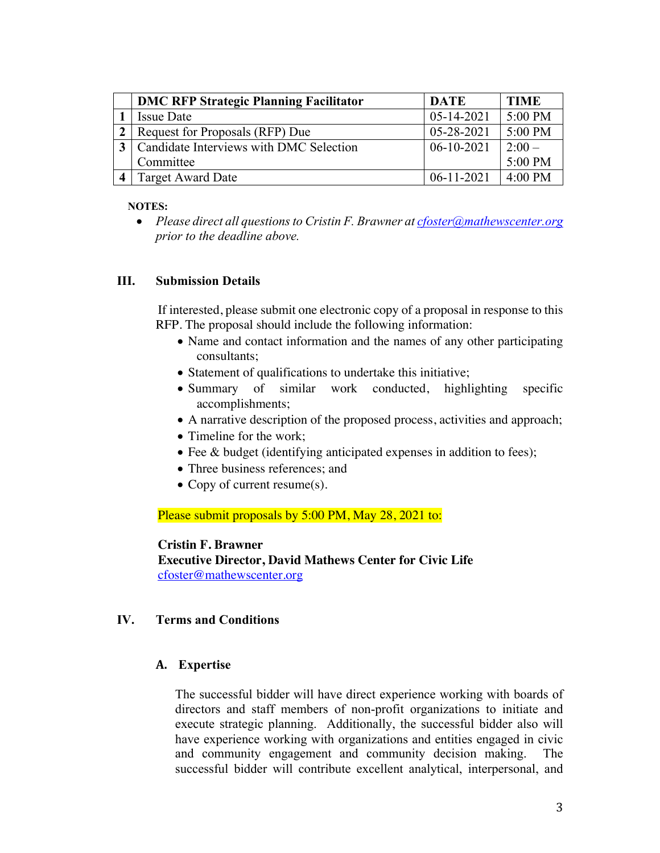| <b>DMC RFP Strategic Planning Facilitator</b> | <b>DATE</b>      | <b>TIME</b> |
|-----------------------------------------------|------------------|-------------|
| <b>Issue Date</b>                             | $05 - 14 - 2021$ | 5:00 PM     |
| Request for Proposals (RFP) Due               | $05-28-2021$     | 5:00 PM     |
| Candidate Interviews with DMC Selection       | $06-10-2021$     | $2:00-$     |
| Committee                                     |                  | 5:00 PM     |
| <b>Target Award Date</b>                      | $06-11-2021$     | $4:00$ PM   |

#### **NOTES:**

• *Please direct all questions to Cristin F. Brawner at cfoster@mathewscenter.org prior to the deadline above.* 

### **III. Submission Details**

If interested, please submit one electronic copy of a proposal in response to this RFP. The proposal should include the following information:

- Name and contact information and the names of any other participating consultants;
- Statement of qualifications to undertake this initiative;
- Summary of similar work conducted, highlighting specific accomplishments;
- A narrative description of the proposed process, activities and approach;
- Timeline for the work;
- Fee & budget (identifying anticipated expenses in addition to fees);
- Three business references; and
- Copy of current resume(s).

Please submit proposals by 5:00 PM, May 28, 2021 to:

### **Cristin F. Brawner**

**Executive Director, David Mathews Center for Civic Life** cfoster@mathewscenter.org

### **IV. Terms and Conditions**

### **A. Expertise**

The successful bidder will have direct experience working with boards of directors and staff members of non-profit organizations to initiate and execute strategic planning. Additionally, the successful bidder also will have experience working with organizations and entities engaged in civic and community engagement and community decision making. The successful bidder will contribute excellent analytical, interpersonal, and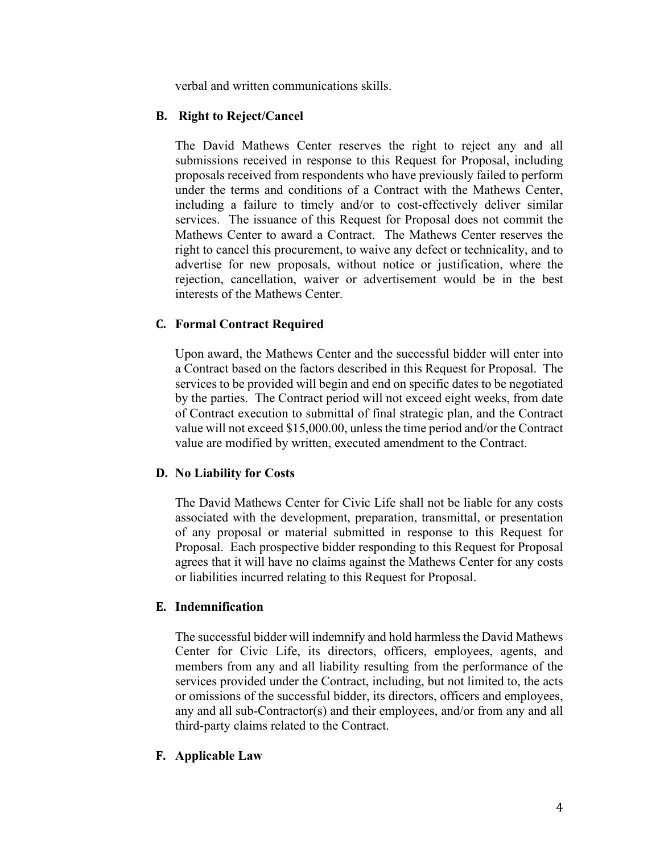verbal and written communications skills.

### **B. Right to Reject/Cancel**

The David Mathews Center reserves the right to reject any and all submissions received in response to this Request for Proposal, including proposals received from respondents who have previously failed to perform under the terms and conditions of a Contract with the Mathews Center, including a failure to timely and/or to cost-effectively deliver similar services. The issuance of this Request for Proposal does not commit the Mathews Center to award a Contract. The Mathews Center reserves the right to cancel this procurement, to waive any defect or technicality, and to advertise for new proposals, without notice or justification, where the rejection, cancellation, waiver or advertisement would be in the best interests of the Mathews Center.

### **C. Formal Contract Required**

Upon award, the Mathews Center and the successful bidder will enter into a Contract based on the factors described in this Request for Proposal. The services to be provided will begin and end on specific dates to be negotiated by the parties. The Contract period will not exceed eight weeks, from date of Contract execution to submittal of final strategic plan, and the Contract value will not exceed \$15,000.00, unless the time period and/or the Contract value are modified by written, executed amendment to the Contract.

#### **D. No Liability for Costs**

The David Mathews Center for Civic Life shall not be liable for any costs associated with the development, preparation, transmittal, or presentation of any proposal or material submitted in response to this Request for Proposal. Each prospective bidder responding to this Request for Proposal agrees that it will have no claims against the Mathews Center for any costs or liabilities incurred relating to this Request for Proposal.

#### **E. Indemnification**

The successful bidder will indemnify and hold harmless the David Mathews Center for Civic Life, its directors, officers, employees, agents, and members from any and all liability resulting from the performance of the services provided under the Contract, including, but not limited to, the acts or omissions of the successful bidder, its directors, officers and employees, any and all sub-Contractor(s) and their employees, and/or from any and all third-party claims related to the Contract.

#### **F. Applicable Law**